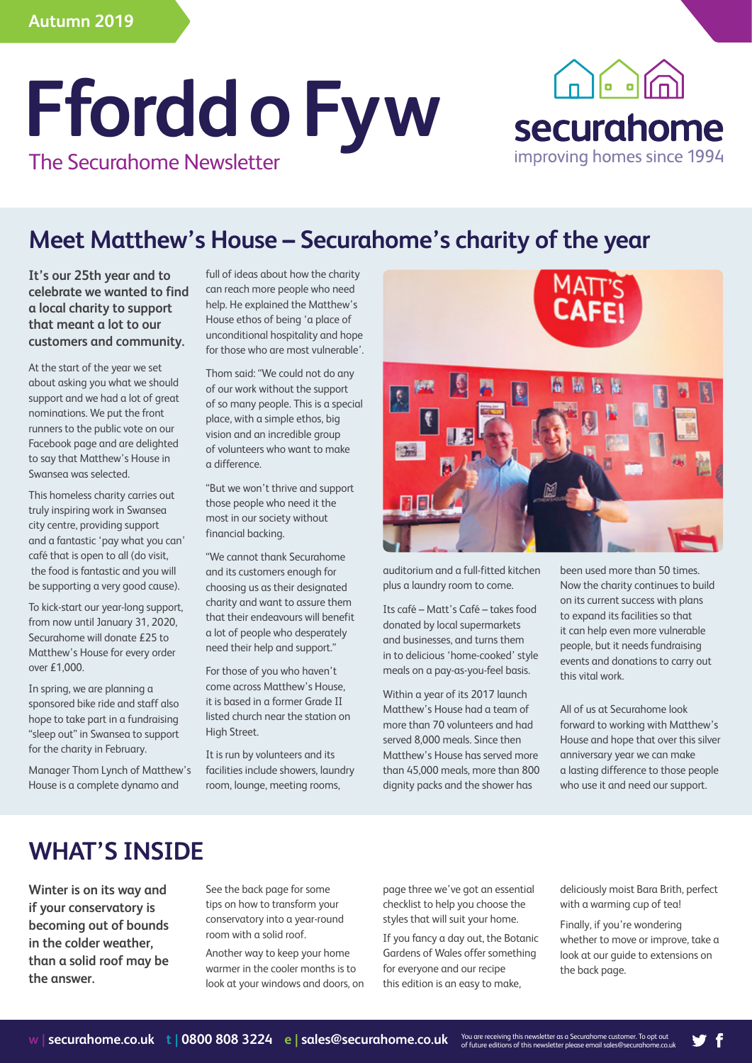# **Ffordd o Fyw** The Securahome Newsletter



# **Meet Matthew's House – Securahome's charity of the year**

**It's our 25th year and to celebrate we wanted to find a local charity to support that meant a lot to our customers and community.**

At the start of the year we set about asking you what we should support and we had a lot of great nominations. We put the front runners to the public vote on our Facebook page and are delighted to say that Matthew's House in Swansea was selected.

This homeless charity carries out truly inspiring work in Swansea city centre, providing support and a fantastic 'pay what you can' café that is open to all (do visit, the food is fantastic and you will be supporting a very good cause).

To kick-start our year-long support, from now until January 31, 2020, Securahome will donate £25 to Matthew's House for every order over £1,000.

In spring, we are planning a sponsored bike ride and staff also hope to take part in a fundraising "sleep out" in Swansea to support for the charity in February.

Manager Thom Lynch of Matthew's House is a complete dynamo and

full of ideas about how the charity can reach more people who need help. He explained the Matthew's House ethos of being 'a place of unconditional hospitality and hope for those who are most vulnerable'.

Thom said: "We could not do any of our work without the support of so many people. This is a special place, with a simple ethos, big vision and an incredible group of volunteers who want to make a difference.

"But we won't thrive and support those people who need it the most in our society without financial backing.

"We cannot thank Securahome and its customers enough for choosing us as their designated charity and want to assure them that their endeavours will benefit a lot of people who desperately need their help and support."

For those of you who haven't come across Matthew's House, it is based in a former Grade II listed church near the station on High Street.

It is run by volunteers and its facilities include showers, laundry room, lounge, meeting rooms,



auditorium and a full-fitted kitchen plus a laundry room to come.

Its café – Matt's Café – takes food donated by local supermarkets and businesses, and turns them in to delicious 'home-cooked' style meals on a pay-as-you-feel basis.

Within a year of its 2017 launch Matthew's House had a team of more than 70 volunteers and had served 8,000 meals. Since then Matthew's House has served more than 45,000 meals, more than 800 dignity packs and the shower has

been used more than 50 times. Now the charity continues to build on its current success with plans to expand its facilities so that it can help even more vulnerable people, but it needs fundraising events and donations to carry out this vital work.

All of us at Securahome look forward to working with Matthew's House and hope that over this silver anniversary year we can make a lasting difference to those people who use it and need our support.

# **WHAT'S INSIDE**

**Winter is on its way and if your conservatory is becoming out of bounds in the colder weather, than a solid roof may be the answer.** 

See the back page for some tips on how to transform your conservatory into a year-round room with a solid roof.

Another way to keep your home warmer in the cooler months is to look at your windows and doors, on

page three we've got an essential checklist to help you choose the styles that will suit your home.

If you fancy a day out, the Botanic Gardens of Wales offer something for everyone and our recipe this edition is an easy to make,

deliciously moist Bara Brith, perfect with a warming cup of tea!

Finally, if you're wondering whether to move or improve, take a look at our guide to extensions on the back page.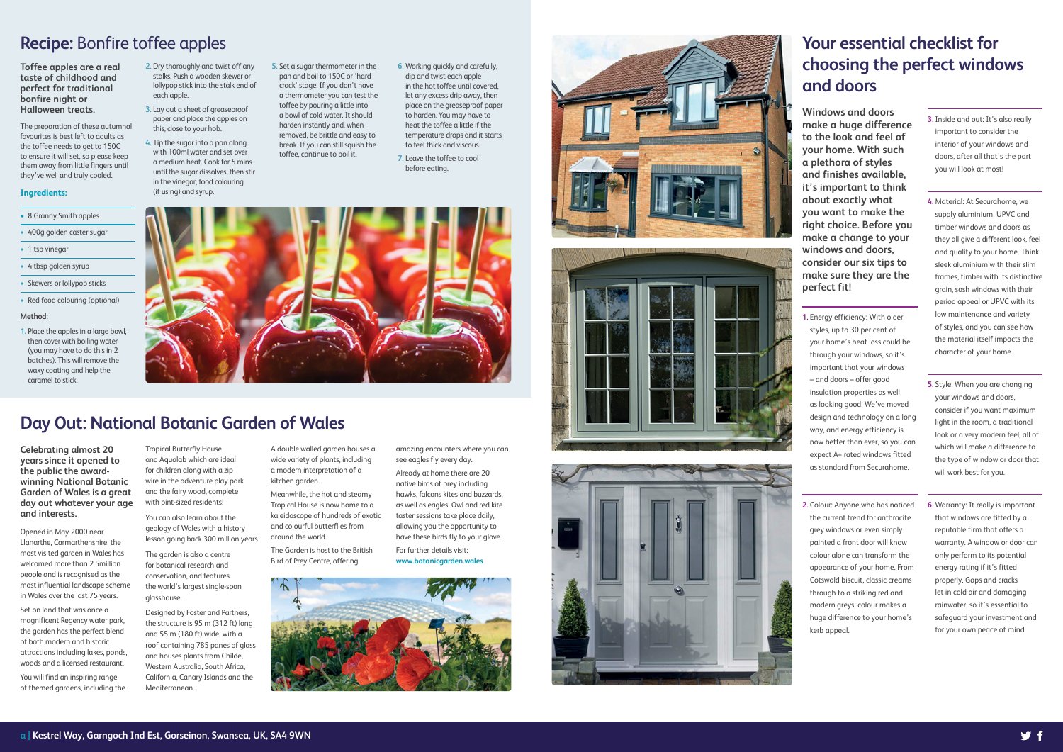**Celebrating almost 20 years since it opened to the public the awardwinning National Botanic Garden of Wales is a great day out whatever your age and interests.**

Opened in May 2000 near Llanarthe, Carmarthenshire, the most visited garden in Wales has welcomed more than 2.5million people and is recognised as the most influential landscape scheme in Wales over the last 75 years.

Set on land that was once a magnificent Regency water park, the garden has the perfect blend of both modern and historic attractions including lakes, ponds, woods and a licensed restaurant.

- 8 Granny Smith apples
- 400g golden caster sugar
- 1 tsp vinegar
- 4 tbsp golden syrup
- Skewers or lollypop sticks
- Red food colouring (optional)

You will find an inspiring range of themed gardens, including the

## **Your essential checklist for choosing the perfect windows and doors**

## **Day Out: National Botanic Garden of Wales**

**Toffee apples are a real taste of childhood and perfect for traditional bonfire night or Halloween treats.** 

The preparation of these autumnal favourites is best left to adults as the toffee needs to get to 150C to ensure it will set, so please keep them away from little fingers until they've well and truly cooled.

#### **Ingredients:**

#### **Method:**

**1.** Place the apples in a large bowl, then cover with boiling water (you may have to do this in 2 batches). This will remove the waxy coating and help the caramel to stick.

## **Recipe:** Bonfire toffee apples

Tropical Butterfly House and Aqualab which are ideal for children along with a zip wire in the adventure play park and the fairy wood, complete with pint-sized residents!

You can also learn about the geology of Wales with a history lesson going back 300 million years.

The garden is also a centre for botanical research and conservation, and features the world's largest single-span glasshouse.

Designed by Foster and Partners, the structure is 95 m (312 ft) long and 55 m (180 ft) wide, with a roof containing 785 panes of glass and houses plants from Childe, Western Australia, South Africa, California, Canary Islands and the Mediterranean.

A double walled garden houses a wide variety of plants, including a modern interpretation of a kitchen garden.

Meanwhile, the hot and steamy Tropical House is now home to a kaleidoscope of hundreds of exotic and colourful butterflies from around the world.

The Garden is host to the British Bird of Prey Centre, offering

amazing encounters where you can

see eagles fly every day. Already at home there are 20 native birds of prey including hawks, falcons kites and buzzards, as well as eagles. Owl and red kite taster sessions take place daily, allowing you the opportunity to have these birds fly to your glove. For further details visit:

**www.botanicgarden.wales**



- **2.** Dry thoroughly and twist off any stalks. Push a wooden skewer or lollypop stick into the stalk end of each apple.
- **3.** Lay out a sheet of greaseproof paper and place the apples on this, close to your hob.
- **4.** Tip the sugar into a pan along with 100ml water and set over a medium heat. Cook for 5 mins until the sugar dissolves, then stir in the vinegar, food colouring (if using) and syrup.
- **5.** Set a sugar thermometer in the pan and boil to 150C or 'hard crack' stage. If you don't have a thermometer you can test the toffee by pouring a little into a bowl of cold water. It should harden instantly and, when removed, be brittle and easy to break. If you can still squish the toffee, continue to boil it.
- **6.** Working quickly and carefully, dip and twist each apple in the hot toffee until covered, let any excess drip away, then place on the greaseproof paper to harden. You may have to heat the toffee a little if the temperature drops and it starts to feel thick and viscous.
- **7.** Leave the toffee to cool before eating.







**Windows and doors make a huge difference to the look and feel of your home. With such a plethora of styles and finishes available, it's important to think about exactly what you want to make the right choice. Before you make a change to your windows and doors, consider our six tips to make sure they are the perfect fit!**

- **1.** Energy efficiency: With older styles, up to 30 per cent of your home's heat loss could be through your windows, so it's important that your windows – and doors – offer good insulation properties as well as looking good. We've moved design and technology on a long way, and energy efficiency is now better than ever, so you can expect A+ rated windows fitted as standard from Securahome.
- **2.** Colour: Anyone who has noticed the current trend for anthracite grey windows or even simply painted a front door will know colour alone can transform the appearance of your home. From Cotswold biscuit, classic creams through to a striking red and modern greys, colour makes a huge difference to your home's kerb appeal.
- **3.** Inside and out: It's also really important to consider the interior of your windows and doors, after all that's the part you will look at most!
- **4.** Material: At Securahome, we supply aluminium, UPVC and timber windows and doors as they all give a different look, feel and quality to your home. Think sleek aluminium with their slim frames, timber with its distinctive grain, sash windows with their period appeal or UPVC with its low maintenance and variety of styles, and you can see how the material itself impacts the character of your home.
- **5.** Style: When you are changing your windows and doors, consider if you want maximum light in the room, a traditional look or a very modern feel, all of which will make a difference to the type of window or door that will work best for you.
- **6.** Warranty: It really is important that windows are fitted by a reputable firm that offers a warranty. A window or door can only perform to its potential energy rating if it's fitted properly. Gaps and cracks let in cold air and damaging rainwater, so it's essential to safeguard your investment and for your own peace of mind.